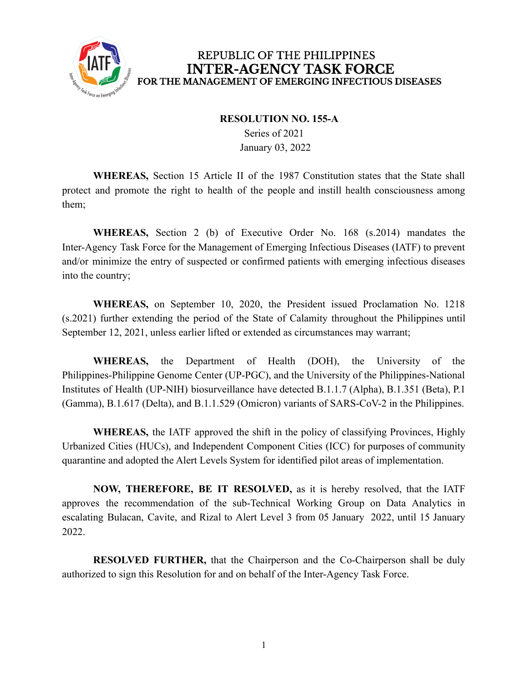

## REPUBLIC OF THE PHILIPPINES **INTER-AGENCY TASK FORCE** FOR THE MANAGEMENT OF EMERGING INFECTIOUS DISEASES

## **RESOLUTION NO. 155-A**

Series of 2021 January 03, 2022

**WHEREAS,** Section 15 Article II of the 1987 Constitution states that the State shall protect and promote the right to health of the people and instill health consciousness among them;

**WHEREAS,** Section 2 (b) of Executive Order No. 168 (s.2014) mandates the Inter-Agency Task Force for the Management of Emerging Infectious Diseases (IATF) to prevent and/or minimize the entry of suspected or confirmed patients with emerging infectious diseases into the country;

**WHEREAS,** on September 10, 2020, the President issued Proclamation No. 1218 (s.2021) further extending the period of the State of Calamity throughout the Philippines until September 12, 2021, unless earlier lifted or extended as circumstances may warrant;

**WHEREAS,** the Department of Health (DOH), the University of the Philippines-Philippine Genome Center (UP-PGC), and the University of the Philippines-National Institutes of Health (UP-NIH) biosurveillance have detected B.1.1.7 (Alpha), B.1.351 (Beta), P.1 (Gamma), B.1.617 (Delta), and B.1.1.529 (Omicron) variants of SARS-CoV-2 in the Philippines.

**WHEREAS,** the IATF approved the shift in the policy of classifying Provinces, Highly Urbanized Cities (HUCs), and Independent Component Cities (ICC) for purposes of community quarantine and adopted the Alert Levels System for identified pilot areas of implementation.

**NOW, THEREFORE, BE IT RESOLVED,** as it is hereby resolved, that the IATF approves the recommendation of the sub-Technical Working Group on Data Analytics in escalating Bulacan, Cavite, and Rizal to Alert Level 3 from 05 January 2022, until 15 January 2022.

**RESOLVED FURTHER,** that the Chairperson and the Co-Chairperson shall be duly authorized to sign this Resolution for and on behalf of the Inter-Agency Task Force.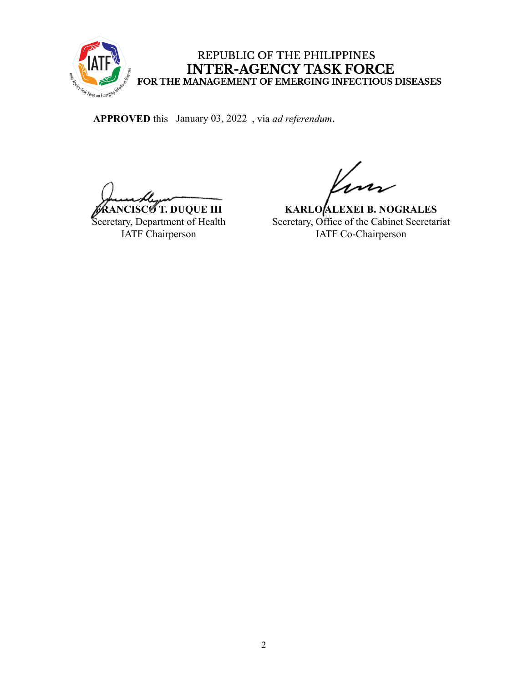

REPUBLIC OF THE PHILIPPINES INTER-AGENCY TASK FORCE<br>FOR THE MANAGEMENT OF EMERGING INFECTIOUS DISEASES

APPROVED this January 03, 2022, via *ad referendum*.

**FRANCISCO T. DUQUE III**

Secretary, Department of Health IATF Chairperson

**KARLO ALEXEI B. NOGRALES** Secretary, Office of the Cabinet Secretariat IATF Co-Chairperson